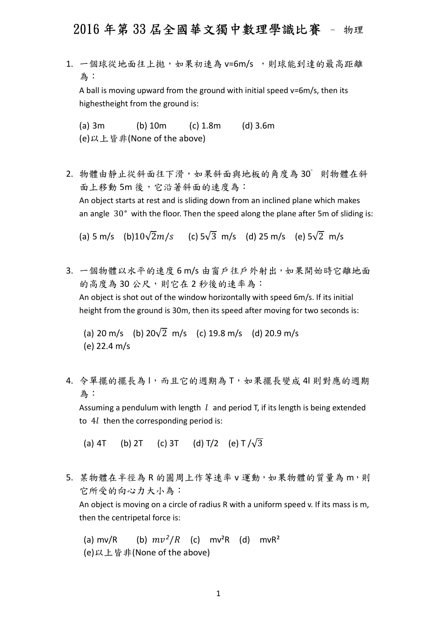1. 一個球從地面往上拋,如果初速為 v=6m/s,則球能到達的最高距離 為:

A ball is moving upward from the ground with initial speed v=6m/s, then its highestheight from the ground is:

(a) 3m (b) 10m (c) 1.8m (d) 3.6m (e)以上皆非(None of the above)

2. 物體由靜止從斜面往下滑,如果斜面與地板的角度為 30゜則物體在斜 面上移動 5m 後,它沿著斜面的速度為: An object starts at rest and is sliding down from an inclined plane which makes an angle 30° with the floor. Then the speed along the plane after 5m of sliding is:

(a) 5 m/s (b) $10\sqrt{2}m/s$  (c)  $5\sqrt{3}$  m/s (d) 25 m/s (e)  $5\sqrt{2}$  m/s

3. 一個物體以水平的速度 6 m/s 由窗戶往戶外射出,如果開始時它離地面 的高度為30公尺,則它在2秒後的速率為: An object is shot out of the window horizontally with speed 6m/s. If its initial height from the ground is 30m, then its speed after moving for two seconds is:

(a) 20 m/s (b)  $20\sqrt{2}$  m/s (c) 19.8 m/s (d) 20.9 m/s (e) 22.4 m/s

4. 令單擺的擺長為1,而且它的週期為 T, 如果擺長變成 4l 則對應的週期 為:

Assuming a pendulum with length  $l$  and period T, if its length is being extended to  $4l$  then the corresponding period is:

(a) 4T (b) 2T (c) 3T (d) T/2 (e) T  $/\sqrt{3}$ 

5. 某物體在半徑為 R 的圓周上作等速率 v 運動, 如果物體的質量為 m, 則 它所受的向心力大小為:

An object is moving on a circle of radius R with a uniform speed v. If its mass is m, then the centripetal force is:

(a) mv/R (b)  $mv^2/R$  (c) mv<sup>2</sup>R (d) mvR<sup>2</sup> (e)以上皆非(None of the above)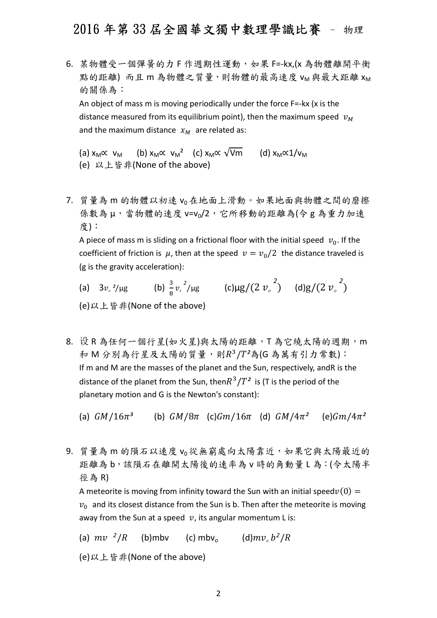6. 某物體受一個彈簧的力 F 作週期性運動,如果 F=-kx,(x 為物體離開平衡 點的距離)而且m為物體之質量,則物體的最高速度 VM與最大距離 XM 的關係為:

An object of mass m is moving periodically under the force F=-kx (x is the distance measured from its equilibrium point), then the maximum speed  $v_M$ and the maximum distance  $x_M$  are related as:

(a)  $x_M \propto v_M$  (b)  $x_M \propto v_M^2$  (c)  $x_M \propto \sqrt{Vm}$  (d)  $x_M \propto 1/v_M$ (e) 以上皆非(None of the above)

7. 質量為 m 的物體以初速 v<sup>0</sup> 在地面上滑動。如果地面與物體之間的磨擦 係數為μ,當物體的速度 v=vo/2, 它所移動的距離為(令 g 為重力加速 度):

A piece of mass m is sliding on a frictional floor with the initial speed  $v_0$ . If the coefficient of friction is  $\mu$ , then at the speed  $\nu = \nu_0/2$  the distance traveled is (g is the gravity acceleration):

- (a)  $3v_{\rm s}^{2}/\mu$ g  $\frac{3}{8}v_s^2/\mu$ g (c) $\mu$ g/(2 $v_s^2$ ) (d)g/(2 $v_s^2$ ) (e)以上皆非(None of the above)
- 8. 设 R 為任何一個行星(如火星)與太陽的距離, T 為它繞太陽的週期, m 和 M 分別為行星及太陽的質量,則 $R^3/T^2$ 為(G 為萬有引力常數): If m and M are the masses of the planet and the Sun, respectively, andR is the distance of the planet from the Sun, then $R^3/T^2$  is (T is the period of the planetary motion and G is the Newton's constant):

(a)  $GM/16\pi^3$  (b)  $GM/8\pi$  (c) $Gm/16\pi$  (d)  $GM/4\pi^2$  (e) $Gm/4\pi^2$ 

9. 質量為m的隕石以速度 vo從無窮處向太陽靠近,如果它與太陽最近的 距離為 b,該隕石在離開太陽後的速率為 v 時的角動量 L 為:(令太陽半 徑為 R)

A meteorite is moving from infinity toward the Sun with an initial speed $v(0)=$  $v<sub>0</sub>$  and its closest distance from the Sun is b. Then after the meteorite is moving away from the Sun at a speed  $v$ , its angular momentum L is:

(a)  $mv<sup>2</sup>/R$  (b)mbv (c) mbv<sub>o</sub> (d) $mv<sub>o</sub> b<sup>2</sup>/R$ 

(e)以上皆非(None of the above)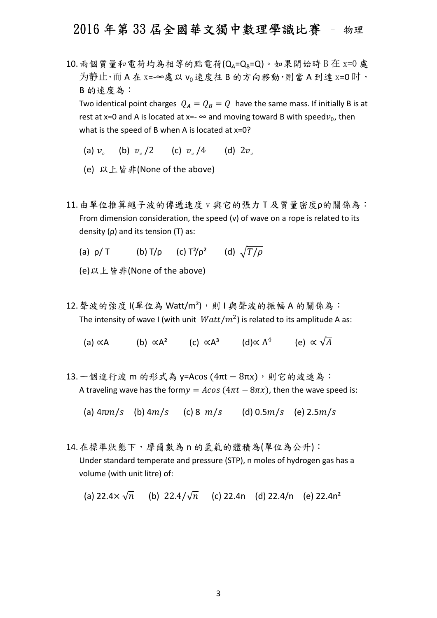$10.$  兩個質量和電荷均為相等的點電荷 $(Q_A=Q_B=Q)$ 。如果開始時 B 在 x= $0$  處 为静止,而A在 x=-∞處以 vo 速度往 B 的方向移動,則當 A 到達 x=0 时, B 的速度為:

Two identical point charges  $Q_A = Q_B = Q$  have the same mass. If initially B is at rest at x=0 and A is located at x=-  $\infty$  and moving toward B with speed $v_0$ , then what is the speed of B when A is located at x=0?

- (a)  $v_a$  (b)  $v_a/2$  (c)  $v_a/4$  (d)  $2v_a$
- (e) 以上皆非(None of the above)
- 11.由單位推算繩子波的傳遞速度 v 與它的張力 T 及質量密度ρ的關係為: From dimension consideration, the speed (v) of wave on a rope is related to its density (ρ) and its tension (T) as:
	- (a)  $\rho/T$  (b)  $T/\rho$  (c)  $T^2/\rho^2$  (d)  $\sqrt{T/\rho}$

(e)以上皆非(None of the above)

12. 聲波的強度 I(單位為 Watt/m<sup>2</sup>),則 I 與聲波的振幅 A 的關係為: The intensity of wave I (with unit  $Watt/m^2$ ) is related to its amplitude A as:

(a) ∝A (b) ∝A<sup>2</sup> (c) ∝A<sup>3</sup> (d)∝ A<sup>4</sup> (e) ∝  $\sqrt{A}$ 

13. 一個進行波 m 的形式為 y=Acos (4πt - 8πx),則它的波速為: A traveling wave has the form $y = Acos(4\pi t - 8\pi x)$ , then the wave speed is:

(a)  $4\pi m/s$  (b)  $4m/s$  (c) 8  $m/s$  (d) 0.5 $m/s$  (e) 2.5 $m/s$ 

- 14.在標準狀態下,摩爾數為 n 的氫氣的體積為(單位為公升): Under standard temperate and pressure (STP), n moles of hydrogen gas has a volume (with unit litre) of:
	- (a) 22.4 $\times \sqrt{n}$  (b) 22.4/ $\sqrt{n}$  (c) 22.4n (d) 22.4/n (e) 22.4n<sup>2</sup>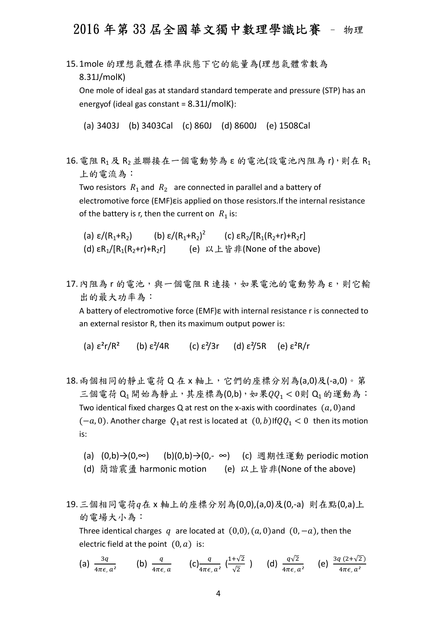15.1mole 的理想氣體在標準狀態下它的能量為(理想氣體常數為 8.31J/molK)

One mole of ideal gas at standard standard temperate and pressure (STP) has an energyof (ideal gas constant = 8.31J/molK):

(a) 3403J (b) 3403Cal (c) 860J (d) 8600J (e) 1508Cal

16. 電阻 R<sub>1</sub> 及 R<sub>2</sub> 並聯接在一個電動勢為 ε 的電池(設電池內阻為 r), 則在 R<sub>1</sub> 上的電流為:

Two resistors  $R_1$  and  $R_2$  are connected in parallel and a battery of electromotive force (EMF)εis applied on those resistors.If the internal resistance of the battery is r, then the current on  $R_1$  is:

- (a)  $\varepsilon/(R_1+R_2)$ (b)  $\epsilon/(R_1+R_2)^2$  (c)  $\epsilon R_2/[R_1(R_2+r)+R_2r]$ (d)  $\epsilon R_1/[R_1(R_2+r)+R_2r]$  (e)  $\forall \bot \land \exists r$  (None of the above)
- 17. 內阻為 r 的電池,與一個電阻 R 連接,如果電池的電動勢為 ε,則它輸 出的最大功率為: A battery of electromotive force (EMF)ε with internal resistance r is connected to an external resistor R, then its maximum output power is:

(a)  $\epsilon^2 r/R^2$  (b)  $\epsilon^2/4R$  (c)  $\epsilon^2/3r$  (d)  $\epsilon^2/5R$  (e)  $\epsilon^2R/r$ 

- 18. 兩個相同的靜止電荷 Q 在 x 軸上, 它們的座標分別為(a,0)及(-a,0)。第 三個電荷  $Q_1$ 開始為靜止,其座標為 $(0, b)$ , 如果 $QQ_1 < 0$ 則  $Q_1$ 的運動為: Two identical fixed charges Q at rest on the x-axis with coordinates  $(a, 0)$  and  $(-a, 0)$ . Another charge  $Q_1$  at rest is located at  $(0, b)$ If $QQ_1 < 0$  then its motion is:
	- (a) (0,b)→(0,∞) (b)(0,b)→(0,- ∞) (c) 週期性運動 periodic motion
	- (d) 簡諧震盪 harmonic motion (e) 以上皆非(None of the above)
- 19. 三個相同電荷q在 x 軸上的座標分別為(0,0),(a,0)及(0,-a) 則在點(0,a)上 的電場大小為:

Three identical charges q are located at  $(0,0)$ ,  $(a, 0)$  and  $(0, -a)$ , then the electric field at the point  $(0, a)$  is:

(a) 
$$
\frac{3q}{4\pi\epsilon_{0} a^2}
$$
 (b)  $\frac{q}{4\pi\epsilon_{0} a}$  (c)  $\frac{q}{4\pi\epsilon_{0} a^2} \left(\frac{1+\sqrt{2}}{\sqrt{2}}\right)$  (d)  $\frac{q\sqrt{2}}{4\pi\epsilon_{0} a^2}$  (e)  $\frac{3q(2+\sqrt{2})}{4\pi\epsilon_{0} a^2}$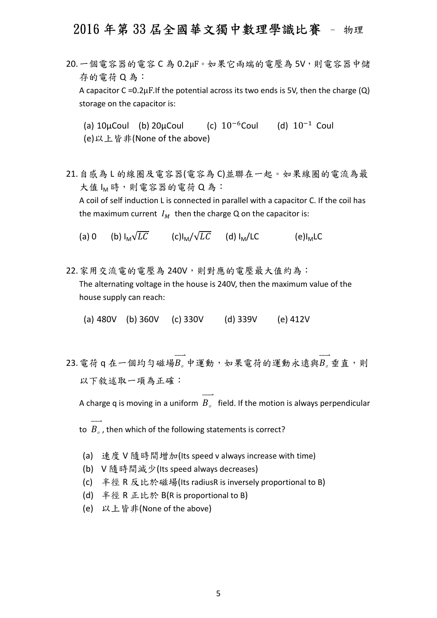- 20.一個電容器的電容 C 為 0.2μF。如果它兩端的電壓為 5V,則電容器中儲 存的電荷 Q 為: A capacitor C =  $0.2\mu$ F. If the potential across its two ends is 5V, then the charge (Q) storage on the capacitor is:
	- (a)  $10\mu$ Coul (b)  $20\mu$ Coul (c)  $10^{-6}$ Coul (d)  $10^{-1}$  Coul (e)以上皆非(None of the above)
- 21.自感為 L 的線圈及電容器(電容為 C)並聯在一起。如果線圈的電流為最 大值 IM 時,則電容器的電荷 Q 為: A coil of self induction L is connected in parallel with a capacitor C. If the coil has the maximum current  $I_M$  then the charge Q on the capacitor is:
	- (a) 0 (b)  $I_M\sqrt{LC}$  (c) $I_M/\sqrt{LC}$  (d)  $I_M/LC$  (e) $I_M LC$
- 22. 家用交流電的電壓為 240V,則對應的電壓最大值約為: The alternating voltage in the house is 240V, then the maximum value of the house supply can reach:

(a) 480V (b) 360V (c) 330V (d) 339V (e) 412V

 $\overrightarrow{23}$ .電荷 q 在一個均勻磁場 $\overrightarrow{B}$ 。中運動,如果電荷的運動永遠與 $B_s$ 垂直,則 以下敘述取一項為正確:

A charge q is moving in a uniform  $\overrightarrow{B_{\circ}}$  field. If the motion is always perpendicular

- to  $\overrightarrow{B}_{\circ}$ , then which of the following statements is correct?
- (a) 速度 V 隨時間增加(Its speed v always increase with time)
- (b) V 隨時間減少(Its speed always decreases)
- (c) 半徑 R 反比於磁場(Its radiusR is inversely proportional to B)
- (d) 半徑 R 正比於 B(R is proportional to B)
- (e) 以上皆非(None of the above)